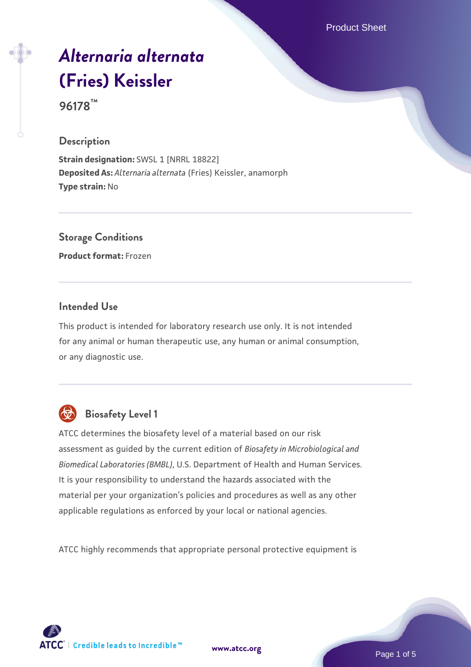Product Sheet

# *[Alternaria alternata](https://www.atcc.org/products/96178)* **[\(Fries\) Keissler](https://www.atcc.org/products/96178)**

**96178™**

## **Description**

**Strain designation: SWSL 1 [NRRL 18822] Deposited As:** *Alternaria alternata* (Fries) Keissler, anamorph **Type strain:** No

**Storage Conditions**

**Product format:** Frozen

# **Intended Use**

This product is intended for laboratory research use only. It is not intended for any animal or human therapeutic use, any human or animal consumption, or any diagnostic use.



# **Biosafety Level 1**

ATCC determines the biosafety level of a material based on our risk assessment as guided by the current edition of *Biosafety in Microbiological and Biomedical Laboratories (BMBL)*, U.S. Department of Health and Human Services. It is your responsibility to understand the hazards associated with the material per your organization's policies and procedures as well as any other applicable regulations as enforced by your local or national agencies.

ATCC highly recommends that appropriate personal protective equipment is

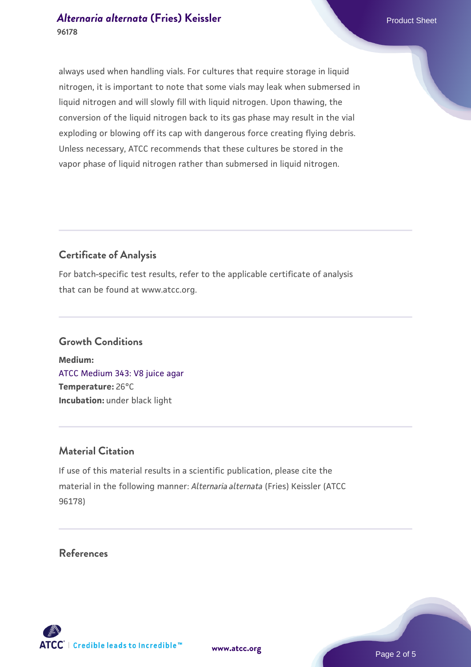# *[Alternaria alternata](https://www.atcc.org/products/96178)* **[\(Fries\) Keissler](https://www.atcc.org/products/96178)** Product Sheet **96178**

always used when handling vials. For cultures that require storage in liquid nitrogen, it is important to note that some vials may leak when submersed in liquid nitrogen and will slowly fill with liquid nitrogen. Upon thawing, the conversion of the liquid nitrogen back to its gas phase may result in the vial exploding or blowing off its cap with dangerous force creating flying debris. Unless necessary, ATCC recommends that these cultures be stored in the vapor phase of liquid nitrogen rather than submersed in liquid nitrogen.

# **Certificate of Analysis**

For batch-specific test results, refer to the applicable certificate of analysis that can be found at www.atcc.org.

#### **Growth Conditions**

**Medium:**  [ATCC Medium 343: V8 juice agar](https://www.atcc.org/-/media/product-assets/documents/microbial-media-formulations/3/4/3/atcc-medium-0343.pdf?rev=fbf48fa24e664932828269db1822ab12) **Temperature:** 26°C **Incubation:** under black light

## **Material Citation**

If use of this material results in a scientific publication, please cite the material in the following manner: *Alternaria alternata* (Fries) Keissler (ATCC 96178)

**References**

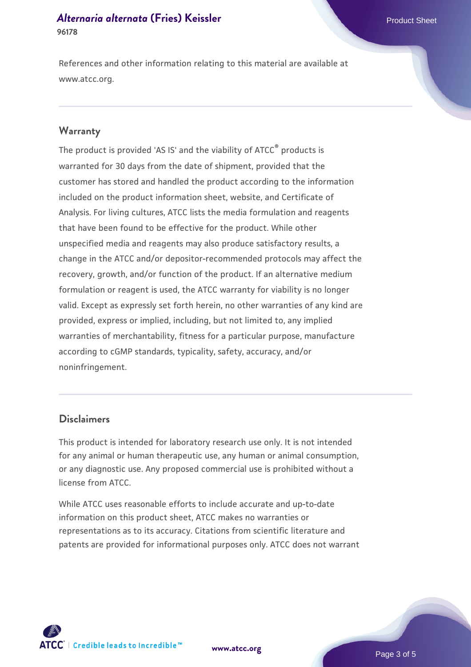#### *[Alternaria alternata](https://www.atcc.org/products/96178)* **[\(Fries\) Keissler](https://www.atcc.org/products/96178)** Product Sheet **96178**

References and other information relating to this material are available at www.atcc.org.

#### **Warranty**

The product is provided 'AS IS' and the viability of ATCC® products is warranted for 30 days from the date of shipment, provided that the customer has stored and handled the product according to the information included on the product information sheet, website, and Certificate of Analysis. For living cultures, ATCC lists the media formulation and reagents that have been found to be effective for the product. While other unspecified media and reagents may also produce satisfactory results, a change in the ATCC and/or depositor-recommended protocols may affect the recovery, growth, and/or function of the product. If an alternative medium formulation or reagent is used, the ATCC warranty for viability is no longer valid. Except as expressly set forth herein, no other warranties of any kind are provided, express or implied, including, but not limited to, any implied warranties of merchantability, fitness for a particular purpose, manufacture according to cGMP standards, typicality, safety, accuracy, and/or noninfringement.

## **Disclaimers**

This product is intended for laboratory research use only. It is not intended for any animal or human therapeutic use, any human or animal consumption, or any diagnostic use. Any proposed commercial use is prohibited without a license from ATCC.

While ATCC uses reasonable efforts to include accurate and up-to-date information on this product sheet, ATCC makes no warranties or representations as to its accuracy. Citations from scientific literature and patents are provided for informational purposes only. ATCC does not warrant

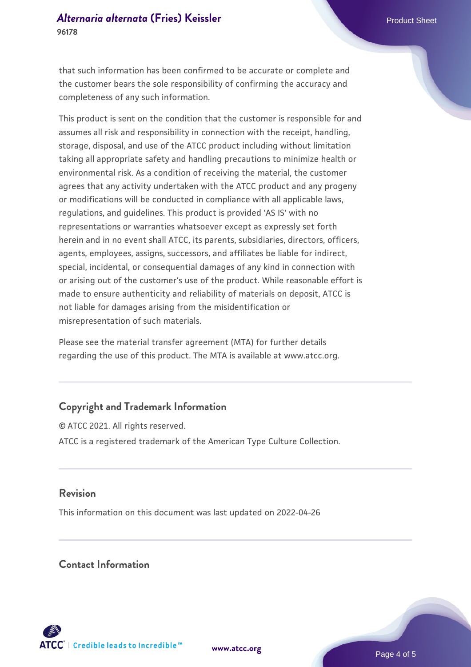#### *[Alternaria alternata](https://www.atcc.org/products/96178)* **[\(Fries\) Keissler](https://www.atcc.org/products/96178)** Product Sheet **96178**

that such information has been confirmed to be accurate or complete and the customer bears the sole responsibility of confirming the accuracy and completeness of any such information.

This product is sent on the condition that the customer is responsible for and assumes all risk and responsibility in connection with the receipt, handling, storage, disposal, and use of the ATCC product including without limitation taking all appropriate safety and handling precautions to minimize health or environmental risk. As a condition of receiving the material, the customer agrees that any activity undertaken with the ATCC product and any progeny or modifications will be conducted in compliance with all applicable laws, regulations, and guidelines. This product is provided 'AS IS' with no representations or warranties whatsoever except as expressly set forth herein and in no event shall ATCC, its parents, subsidiaries, directors, officers, agents, employees, assigns, successors, and affiliates be liable for indirect, special, incidental, or consequential damages of any kind in connection with or arising out of the customer's use of the product. While reasonable effort is made to ensure authenticity and reliability of materials on deposit, ATCC is not liable for damages arising from the misidentification or misrepresentation of such materials.

Please see the material transfer agreement (MTA) for further details regarding the use of this product. The MTA is available at www.atcc.org.

# **Copyright and Trademark Information**

© ATCC 2021. All rights reserved. ATCC is a registered trademark of the American Type Culture Collection.

#### **Revision**

This information on this document was last updated on 2022-04-26

# **Contact Information**



**[www.atcc.org](http://www.atcc.org)**